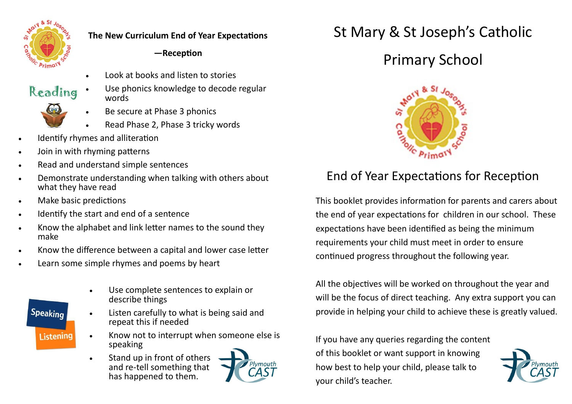

Reading

### **The New Curriculum End of Year Expectations**

### **—Reception**

- Look at books and listen to stories
- Use phonics knowledge to decode regular words
	- Be secure at Phase 3 phonics
	- Read Phase 2, Phase 3 tricky words
- Identify rhymes and alliteration
- Join in with rhyming patterns
- Read and understand simple sentences
- Demonstrate understanding when talking with others about what they have read
- Make basic predictions
- Identify the start and end of a sentence
- Know the alphabet and link letter names to the sound they make
- Know the difference between a capital and lower case letter
- Learn some simple rhymes and poems by heart



- Use complete sentences to explain or describe things
- Listen carefully to what is being said and repeat this if needed
- Know not to interrupt when someone else is speaking
- Stand up in front of others and re-tell something that has happened to them.



# St Mary & St Joseph's Catholic

## Primary School



### End of Year Expectations for Reception

This booklet provides information for parents and carers about the end of year expectations for children in our school. These expectations have been identified as being the minimum requirements your child must meet in order to ensure continued progress throughout the following year.

All the objectives will be worked on throughout the year and will be the focus of direct teaching. Any extra support you can provide in helping your child to achieve these is greatly valued.

If you have any queries regarding the content of this booklet or want support in knowing how best to help your child, please talk to your child's teacher.